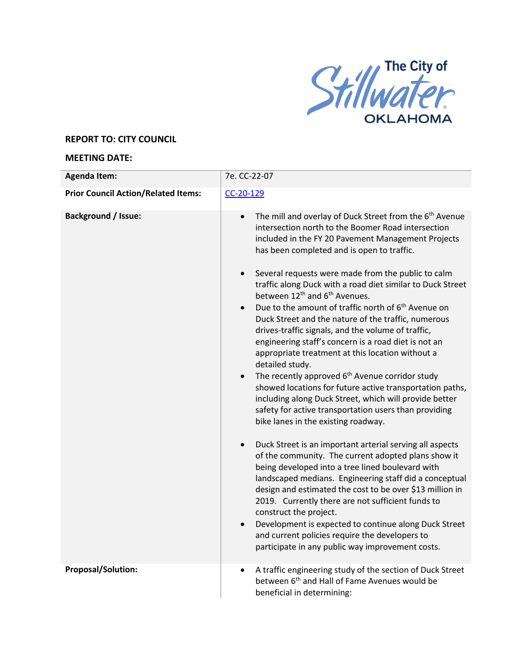

## **REPORT TO: CITY COUNCIL**

## **MEETING DATE:**

| <b>Agenda Item:</b>                              | 7e. CC-22-07                                                                                                                                                                                                                                                                                                                                                                                                                                                                                                                                                                                                                                                                                                                                                                                                                                                                                                                                                                                                                                                                                                                                                                                                                                                                                                                                                                                                                                                                                                                                                                                                                                                                            |
|--------------------------------------------------|-----------------------------------------------------------------------------------------------------------------------------------------------------------------------------------------------------------------------------------------------------------------------------------------------------------------------------------------------------------------------------------------------------------------------------------------------------------------------------------------------------------------------------------------------------------------------------------------------------------------------------------------------------------------------------------------------------------------------------------------------------------------------------------------------------------------------------------------------------------------------------------------------------------------------------------------------------------------------------------------------------------------------------------------------------------------------------------------------------------------------------------------------------------------------------------------------------------------------------------------------------------------------------------------------------------------------------------------------------------------------------------------------------------------------------------------------------------------------------------------------------------------------------------------------------------------------------------------------------------------------------------------------------------------------------------------|
| <b>Prior Council Action/Related Items:</b>       | $CC-20-129$                                                                                                                                                                                                                                                                                                                                                                                                                                                                                                                                                                                                                                                                                                                                                                                                                                                                                                                                                                                                                                                                                                                                                                                                                                                                                                                                                                                                                                                                                                                                                                                                                                                                             |
| <b>Background / Issue:</b><br>Proposal/Solution: | The mill and overlay of Duck Street from the 6 <sup>th</sup> Avenue<br>$\bullet$<br>intersection north to the Boomer Road intersection<br>included in the FY 20 Pavement Management Projects<br>has been completed and is open to traffic.<br>Several requests were made from the public to calm<br>$\bullet$<br>traffic along Duck with a road diet similar to Duck Street<br>between 12 <sup>th</sup> and 6 <sup>th</sup> Avenues.<br>Due to the amount of traffic north of 6 <sup>th</sup> Avenue on<br>$\bullet$<br>Duck Street and the nature of the traffic, numerous<br>drives-traffic signals, and the volume of traffic,<br>engineering staff's concern is a road diet is not an<br>appropriate treatment at this location without a<br>detailed study.<br>The recently approved 6 <sup>th</sup> Avenue corridor study<br>showed locations for future active transportation paths,<br>including along Duck Street, which will provide better<br>safety for active transportation users than providing<br>bike lanes in the existing roadway.<br>Duck Street is an important arterial serving all aspects<br>$\bullet$<br>of the community. The current adopted plans show it<br>being developed into a tree lined boulevard with<br>landscaped medians. Engineering staff did a conceptual<br>design and estimated the cost to be over \$13 million in<br>2019. Currently there are not sufficient funds to<br>construct the project.<br>Development is expected to continue along Duck Street<br>and current policies require the developers to<br>participate in any public way improvement costs.<br>A traffic engineering study of the section of Duck Street<br>$\bullet$ |
|                                                  | between 6 <sup>th</sup> and Hall of Fame Avenues would be<br>beneficial in determining:                                                                                                                                                                                                                                                                                                                                                                                                                                                                                                                                                                                                                                                                                                                                                                                                                                                                                                                                                                                                                                                                                                                                                                                                                                                                                                                                                                                                                                                                                                                                                                                                 |